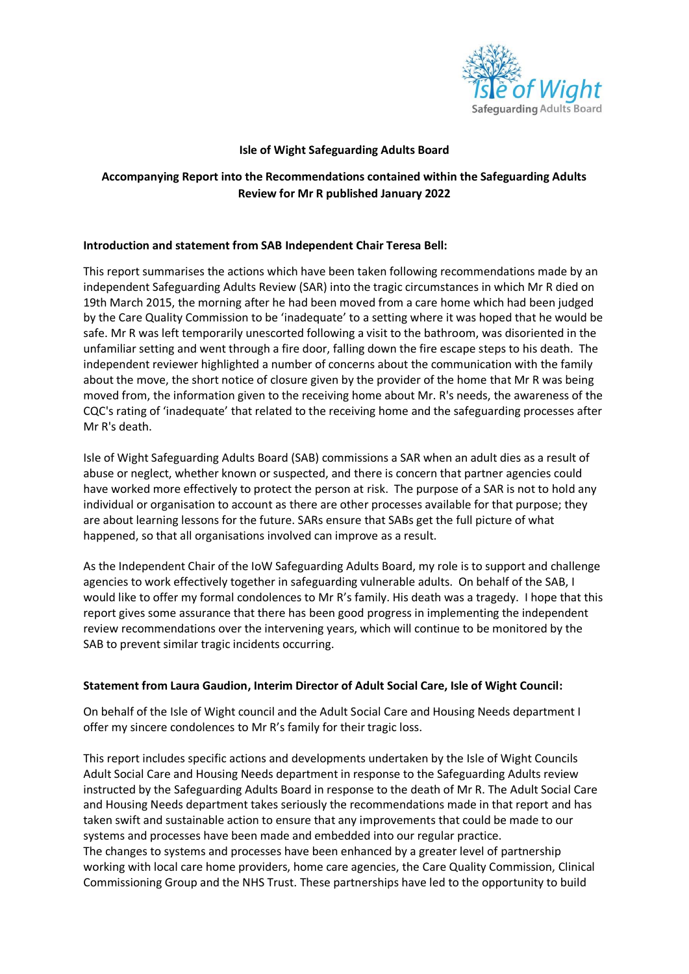

### **Isle of Wight Safeguarding Adults Board**

# **Accompanying Report into the Recommendations contained within the Safeguarding Adults Review for Mr R published January 2022**

### **Introduction and statement from SAB Independent Chair Teresa Bell:**

This report summarises the actions which have been taken following recommendations made by an independent Safeguarding Adults Review (SAR) into the tragic circumstances in which Mr R died on 19th March 2015, the morning after he had been moved from a care home which had been judged by the Care Quality Commission to be 'inadequate' to a setting where it was hoped that he would be safe. Mr R was left temporarily unescorted following a visit to the bathroom, was disoriented in the unfamiliar setting and went through a fire door, falling down the fire escape steps to his death. The independent reviewer highlighted a number of concerns about the communication with the family about the move, the short notice of closure given by the provider of the home that Mr R was being moved from, the information given to the receiving home about Mr. R's needs, the awareness of the CQC's rating of 'inadequate' that related to the receiving home and the safeguarding processes after Mr R's death.

Isle of Wight Safeguarding Adults Board (SAB) commissions a SAR when an adult dies as a result of abuse or neglect, whether known or suspected, and there is concern that partner agencies could have worked more effectively to protect the person at risk. The purpose of a SAR is not to hold any individual or organisation to account as there are other processes available for that purpose; they are about learning lessons for the future. SARs ensure that SABs get the full picture of what happened, so that all organisations involved can improve as a result.

As the Independent Chair of the IoW Safeguarding Adults Board, my role is to support and challenge agencies to work effectively together in safeguarding vulnerable adults. On behalf of the SAB, I would like to offer my formal condolences to Mr R's family. His death was a tragedy. I hope that this report gives some assurance that there has been good progress in implementing the independent review recommendations over the intervening years, which will continue to be monitored by the SAB to prevent similar tragic incidents occurring.

#### **Statement from Laura Gaudion, Interim Director of Adult Social Care, Isle of Wight Council:**

On behalf of the Isle of Wight council and the Adult Social Care and Housing Needs department I offer my sincere condolences to Mr R's family for their tragic loss.

This report includes specific actions and developments undertaken by the Isle of Wight Councils Adult Social Care and Housing Needs department in response to the Safeguarding Adults review instructed by the Safeguarding Adults Board in response to the death of Mr R. The Adult Social Care and Housing Needs department takes seriously the recommendations made in that report and has taken swift and sustainable action to ensure that any improvements that could be made to our systems and processes have been made and embedded into our regular practice. The changes to systems and processes have been enhanced by a greater level of partnership working with local care home providers, home care agencies, the Care Quality Commission, Clinical Commissioning Group and the NHS Trust. These partnerships have led to the opportunity to build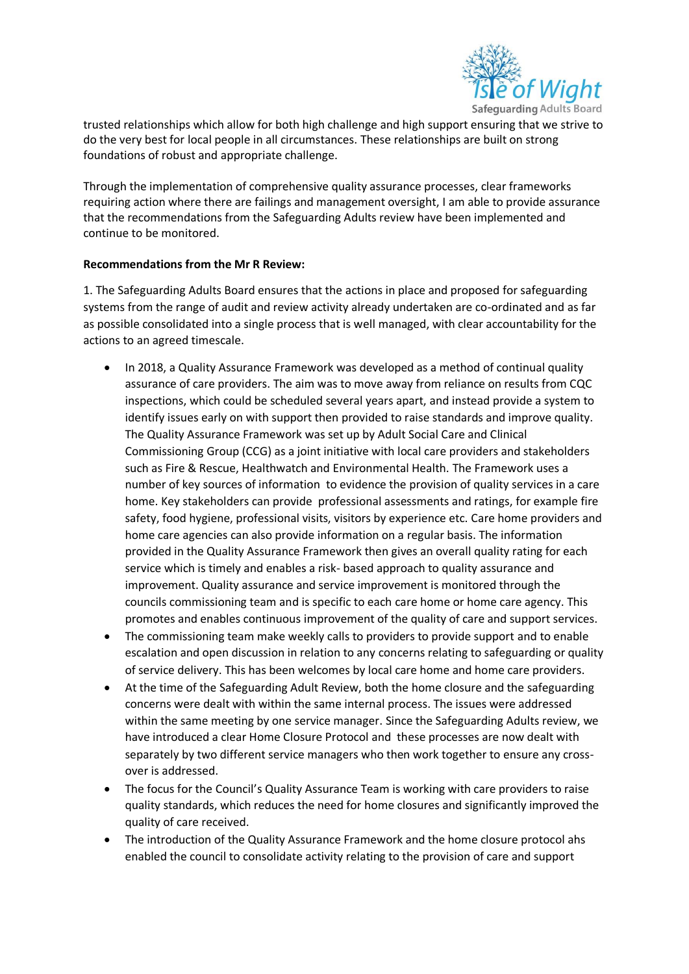

trusted relationships which allow for both high challenge and high support ensuring that we strive to do the very best for local people in all circumstances. These relationships are built on strong foundations of robust and appropriate challenge.

Through the implementation of comprehensive quality assurance processes, clear frameworks requiring action where there are failings and management oversight, I am able to provide assurance that the recommendations from the Safeguarding Adults review have been implemented and continue to be monitored.

## **Recommendations from the Mr R Review:**

1. The Safeguarding Adults Board ensures that the actions in place and proposed for safeguarding systems from the range of audit and review activity already undertaken are co-ordinated and as far as possible consolidated into a single process that is well managed, with clear accountability for the actions to an agreed timescale.

- In 2018, a Quality Assurance Framework was developed as a method of continual quality assurance of care providers. The aim was to move away from reliance on results from CQC inspections, which could be scheduled several years apart, and instead provide a system to identify issues early on with support then provided to raise standards and improve quality. The Quality Assurance Framework was set up by Adult Social Care and Clinical Commissioning Group (CCG) as a joint initiative with local care providers and stakeholders such as Fire & Rescue, Healthwatch and Environmental Health. The Framework uses a number of key sources of information to evidence the provision of quality services in a care home. Key stakeholders can provide professional assessments and ratings, for example fire safety, food hygiene, professional visits, visitors by experience etc. Care home providers and home care agencies can also provide information on a regular basis. The information provided in the Quality Assurance Framework then gives an overall quality rating for each service which is timely and enables a risk- based approach to quality assurance and improvement. Quality assurance and service improvement is monitored through the councils commissioning team and is specific to each care home or home care agency. This promotes and enables continuous improvement of the quality of care and support services.
- The commissioning team make weekly calls to providers to provide support and to enable escalation and open discussion in relation to any concerns relating to safeguarding or quality of service delivery. This has been welcomes by local care home and home care providers.
- At the time of the Safeguarding Adult Review, both the home closure and the safeguarding concerns were dealt with within the same internal process. The issues were addressed within the same meeting by one service manager. Since the Safeguarding Adults review, we have introduced a clear Home Closure Protocol and these processes are now dealt with separately by two different service managers who then work together to ensure any crossover is addressed.
- The focus for the Council's Quality Assurance Team is working with care providers to raise quality standards, which reduces the need for home closures and significantly improved the quality of care received.
- The introduction of the Quality Assurance Framework and the home closure protocol ahs enabled the council to consolidate activity relating to the provision of care and support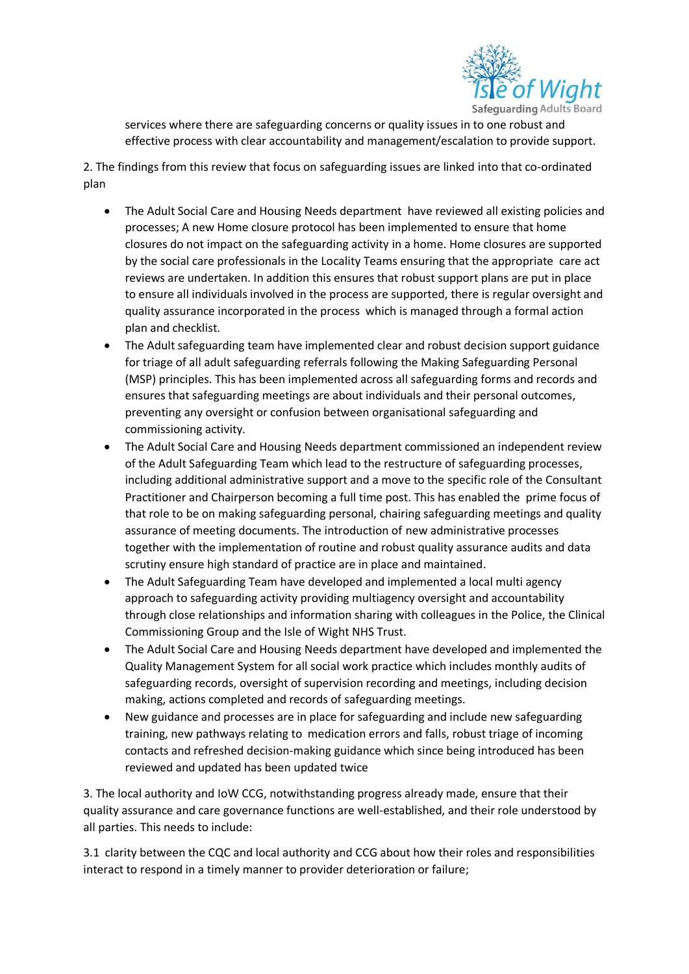

services where there are safeguarding concerns or quality issues in to one robust and effective process with clear accountability and management/escalation to provide support.

2. The findings from this review that focus on safeguarding issues are linked into that co-ordinated plan

- The Adult Social Care and Housing Needs department have reviewed all existing policies and processes; A new Home closure protocol has been implemented to ensure that home closures do not impact on the safeguarding activity in a home. Home closures are supported by the social care professionals in the Locality Teams ensuring that the appropriate care act reviews are undertaken. In addition this ensures that robust support plans are put in place to ensure all individuals involved in the process are supported, there is regular oversight and quality assurance incorporated in the process which is managed through a formal action plan and checklist.
- The Adult safeguarding team have implemented clear and robust decision support guidance for triage of all adult safeguarding referrals following the Making Safeguarding Personal (MSP) principles. This has been implemented across all safeguarding forms and records and ensures that safeguarding meetings are about individuals and their personal outcomes, preventing any oversight or confusion between organisational safeguarding and commissioning activity.
- The Adult Social Care and Housing Needs department commissioned an independent review of the Adult Safeguarding Team which lead to the restructure of safeguarding processes, including additional administrative support and a move to the specific role of the Consultant Practitioner and Chairperson becoming a full time post. This has enabled the prime focus of that role to be on making safeguarding personal, chairing safeguarding meetings and quality assurance of meeting documents. The introduction of new administrative processes together with the implementation of routine and robust quality assurance audits and data scrutiny ensure high standard of practice are in place and maintained.
- The Adult Safeguarding Team have developed and implemented a local multi agency approach to safeguarding activity providing multiagency oversight and accountability through close relationships and information sharing with colleagues in the Police, the Clinical Commissioning Group and the Isle of Wight NHS Trust.
- The Adult Social Care and Housing Needs department have developed and implemented the Quality Management System for all social work practice which includes monthly audits of safeguarding records, oversight of supervision recording and meetings, including decision making, actions completed and records of safeguarding meetings.
- New guidance and processes are in place for safeguarding and include new safeguarding training, new pathways relating to medication errors and falls, robust triage of incoming contacts and refreshed decision-making guidance which since being introduced has been reviewed and updated has been updated twice

3. The local authority and IoW CCG, notwithstanding progress already made, ensure that their quality assurance and care governance functions are well-established, and their role understood by all parties. This needs to include:

3.1 clarity between the CQC and local authority and CCG about how their roles and responsibilities interact to respond in a timely manner to provider deterioration or failure;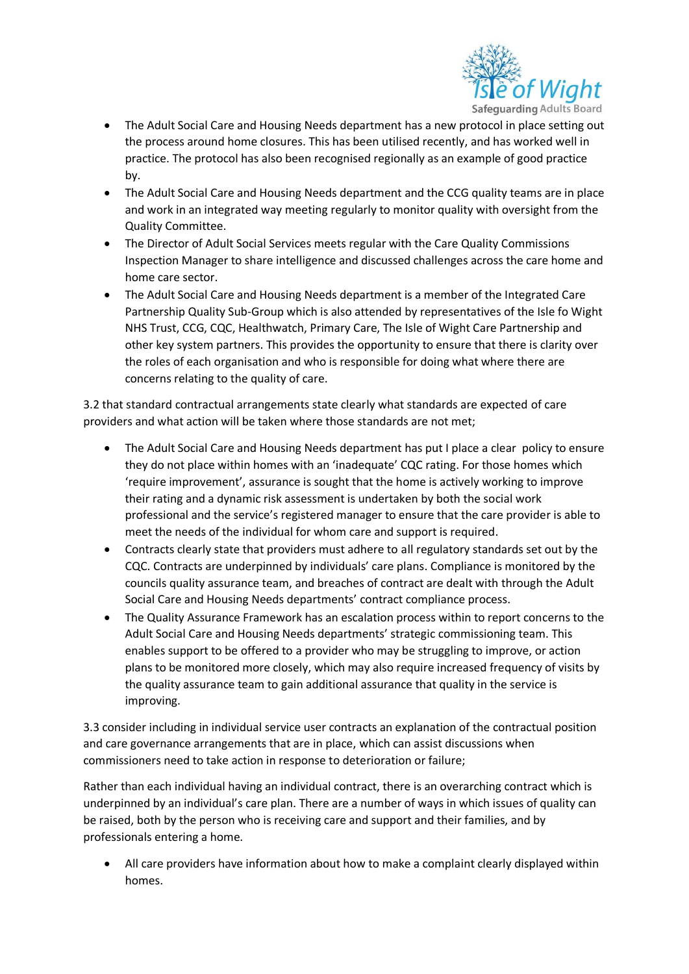

- The Adult Social Care and Housing Needs department has a new protocol in place setting out the process around home closures. This has been utilised recently, and has worked well in practice. The protocol has also been recognised regionally as an example of good practice by.
- The Adult Social Care and Housing Needs department and the CCG quality teams are in place and work in an integrated way meeting regularly to monitor quality with oversight from the Quality Committee.
- The Director of Adult Social Services meets regular with the Care Quality Commissions Inspection Manager to share intelligence and discussed challenges across the care home and home care sector.
- The Adult Social Care and Housing Needs department is a member of the Integrated Care Partnership Quality Sub-Group which is also attended by representatives of the Isle fo Wight NHS Trust, CCG, CQC, Healthwatch, Primary Care, The Isle of Wight Care Partnership and other key system partners. This provides the opportunity to ensure that there is clarity over the roles of each organisation and who is responsible for doing what where there are concerns relating to the quality of care.

3.2 that standard contractual arrangements state clearly what standards are expected of care providers and what action will be taken where those standards are not met;

- The Adult Social Care and Housing Needs department has put I place a clear policy to ensure they do not place within homes with an 'inadequate' CQC rating. For those homes which 'require improvement', assurance is sought that the home is actively working to improve their rating and a dynamic risk assessment is undertaken by both the social work professional and the service's registered manager to ensure that the care provider is able to meet the needs of the individual for whom care and support is required.
- Contracts clearly state that providers must adhere to all regulatory standards set out by the CQC. Contracts are underpinned by individuals' care plans. Compliance is monitored by the councils quality assurance team, and breaches of contract are dealt with through the Adult Social Care and Housing Needs departments' contract compliance process.
- The Quality Assurance Framework has an escalation process within to report concerns to the Adult Social Care and Housing Needs departments' strategic commissioning team. This enables support to be offered to a provider who may be struggling to improve, or action plans to be monitored more closely, which may also require increased frequency of visits by the quality assurance team to gain additional assurance that quality in the service is improving.

3.3 consider including in individual service user contracts an explanation of the contractual position and care governance arrangements that are in place, which can assist discussions when commissioners need to take action in response to deterioration or failure;

Rather than each individual having an individual contract, there is an overarching contract which is underpinned by an individual's care plan. There are a number of ways in which issues of quality can be raised, both by the person who is receiving care and support and their families, and by professionals entering a home.

• All care providers have information about how to make a complaint clearly displayed within homes.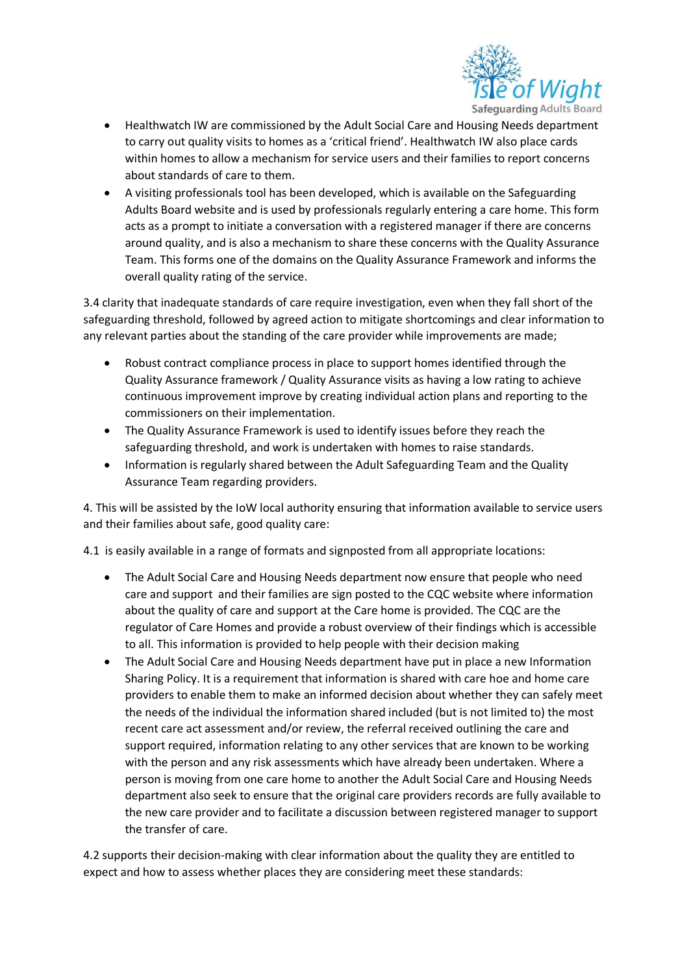

- Healthwatch IW are commissioned by the Adult Social Care and Housing Needs department to carry out quality visits to homes as a 'critical friend'. Healthwatch IW also place cards within homes to allow a mechanism for service users and their families to report concerns about standards of care to them.
- A visiting professionals tool has been developed, which is available on the Safeguarding Adults Board website and is used by professionals regularly entering a care home. This form acts as a prompt to initiate a conversation with a registered manager if there are concerns around quality, and is also a mechanism to share these concerns with the Quality Assurance Team. This forms one of the domains on the Quality Assurance Framework and informs the overall quality rating of the service.

3.4 clarity that inadequate standards of care require investigation, even when they fall short of the safeguarding threshold, followed by agreed action to mitigate shortcomings and clear information to any relevant parties about the standing of the care provider while improvements are made;

- Robust contract compliance process in place to support homes identified through the Quality Assurance framework / Quality Assurance visits as having a low rating to achieve continuous improvement improve by creating individual action plans and reporting to the commissioners on their implementation.
- The Quality Assurance Framework is used to identify issues before they reach the safeguarding threshold, and work is undertaken with homes to raise standards.
- Information is regularly shared between the Adult Safeguarding Team and the Quality Assurance Team regarding providers.

4. This will be assisted by the IoW local authority ensuring that information available to service users and their families about safe, good quality care:

4.1 is easily available in a range of formats and signposted from all appropriate locations:

- The Adult Social Care and Housing Needs department now ensure that people who need care and support and their families are sign posted to the CQC website where information about the quality of care and support at the Care home is provided. The CQC are the regulator of Care Homes and provide a robust overview of their findings which is accessible to all. This information is provided to help people with their decision making
- The Adult Social Care and Housing Needs department have put in place a new Information Sharing Policy. It is a requirement that information is shared with care hoe and home care providers to enable them to make an informed decision about whether they can safely meet the needs of the individual the information shared included (but is not limited to) the most recent care act assessment and/or review, the referral received outlining the care and support required, information relating to any other services that are known to be working with the person and any risk assessments which have already been undertaken. Where a person is moving from one care home to another the Adult Social Care and Housing Needs department also seek to ensure that the original care providers records are fully available to the new care provider and to facilitate a discussion between registered manager to support the transfer of care.

4.2 supports their decision-making with clear information about the quality they are entitled to expect and how to assess whether places they are considering meet these standards: